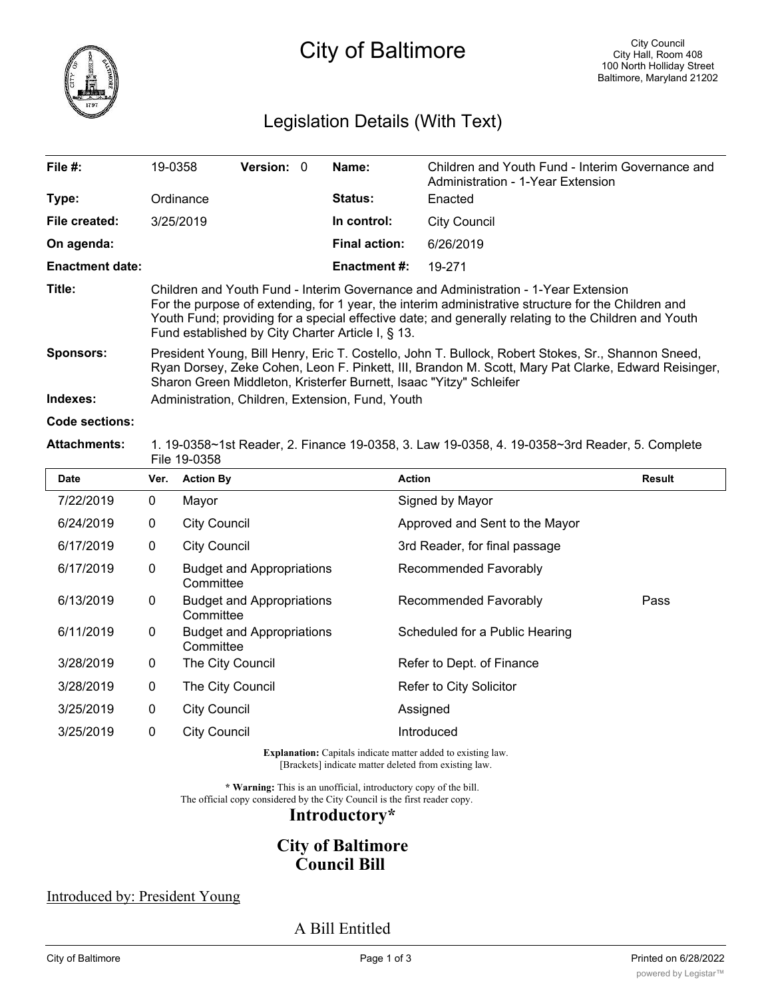

# City of Baltimore

# Legislation Details (With Text)

| File $#$ :                   | 19-0358   | <b>Version: 0</b>                                                                                                                                                                                                                                                                                                                                      |  | Name:                | Children and Youth Fund - Interim Governance and<br>Administration - 1-Year Extension |  |  |
|------------------------------|-----------|--------------------------------------------------------------------------------------------------------------------------------------------------------------------------------------------------------------------------------------------------------------------------------------------------------------------------------------------------------|--|----------------------|---------------------------------------------------------------------------------------|--|--|
| Type:                        | Ordinance |                                                                                                                                                                                                                                                                                                                                                        |  | <b>Status:</b>       | Enacted                                                                               |  |  |
| File created:                | 3/25/2019 |                                                                                                                                                                                                                                                                                                                                                        |  | In control:          | <b>City Council</b>                                                                   |  |  |
| On agenda:                   |           |                                                                                                                                                                                                                                                                                                                                                        |  | <b>Final action:</b> | 6/26/2019                                                                             |  |  |
| <b>Enactment date:</b>       |           |                                                                                                                                                                                                                                                                                                                                                        |  | Enactment #:         | 19-271                                                                                |  |  |
| Title:                       |           | Children and Youth Fund - Interim Governance and Administration - 1-Year Extension<br>For the purpose of extending, for 1 year, the interim administrative structure for the Children and<br>Youth Fund; providing for a special effective date; and generally relating to the Children and Youth<br>Fund established by City Charter Article I, § 13. |  |                      |                                                                                       |  |  |
| <b>Sponsors:</b><br>Indexes: |           | President Young, Bill Henry, Eric T. Costello, John T. Bullock, Robert Stokes, Sr., Shannon Sneed,<br>Ryan Dorsey, Zeke Cohen, Leon F. Pinkett, III, Brandon M. Scott, Mary Pat Clarke, Edward Reisinger,<br>Sharon Green Middleton, Kristerfer Burnett, Isaac "Yitzy" Schleifer<br>Administration, Children, Extension, Fund, Youth                   |  |                      |                                                                                       |  |  |
| Code sections:               |           |                                                                                                                                                                                                                                                                                                                                                        |  |                      |                                                                                       |  |  |

#### **Attachments:** 1. 19-0358~1st Reader, 2. Finance 19-0358, 3. Law 19-0358, 4. 19-0358~3rd Reader, 5. Complete File 19-0358

| <b>Date</b> | Ver.        | <b>Action By</b>                              | <b>Action</b>                  | Result |
|-------------|-------------|-----------------------------------------------|--------------------------------|--------|
| 7/22/2019   | 0           | Mayor                                         | Signed by Mayor                |        |
| 6/24/2019   | 0           | <b>City Council</b>                           | Approved and Sent to the Mayor |        |
| 6/17/2019   | 0           | <b>City Council</b>                           | 3rd Reader, for final passage  |        |
| 6/17/2019   | 0           | <b>Budget and Appropriations</b><br>Committee | Recommended Favorably          |        |
| 6/13/2019   | $\mathbf 0$ | <b>Budget and Appropriations</b><br>Committee | Recommended Favorably          | Pass   |
| 6/11/2019   | $\mathbf 0$ | <b>Budget and Appropriations</b><br>Committee | Scheduled for a Public Hearing |        |
| 3/28/2019   | 0           | The City Council                              | Refer to Dept. of Finance      |        |
| 3/28/2019   | 0           | The City Council                              | Refer to City Solicitor        |        |
| 3/25/2019   | 0           | <b>City Council</b>                           | Assigned                       |        |
| 3/25/2019   | 0           | <b>City Council</b>                           | Introduced                     |        |

**Explanation:** Capitals indicate matter added to existing law. [Brackets] indicate matter deleted from existing law.

**\* Warning:** This is an unofficial, introductory copy of the bill. The official copy considered by the City Council is the first reader copy.

### **Introductory\***

## **City of Baltimore Council Bill**

#### Introduced by: President Young

A Bill Entitled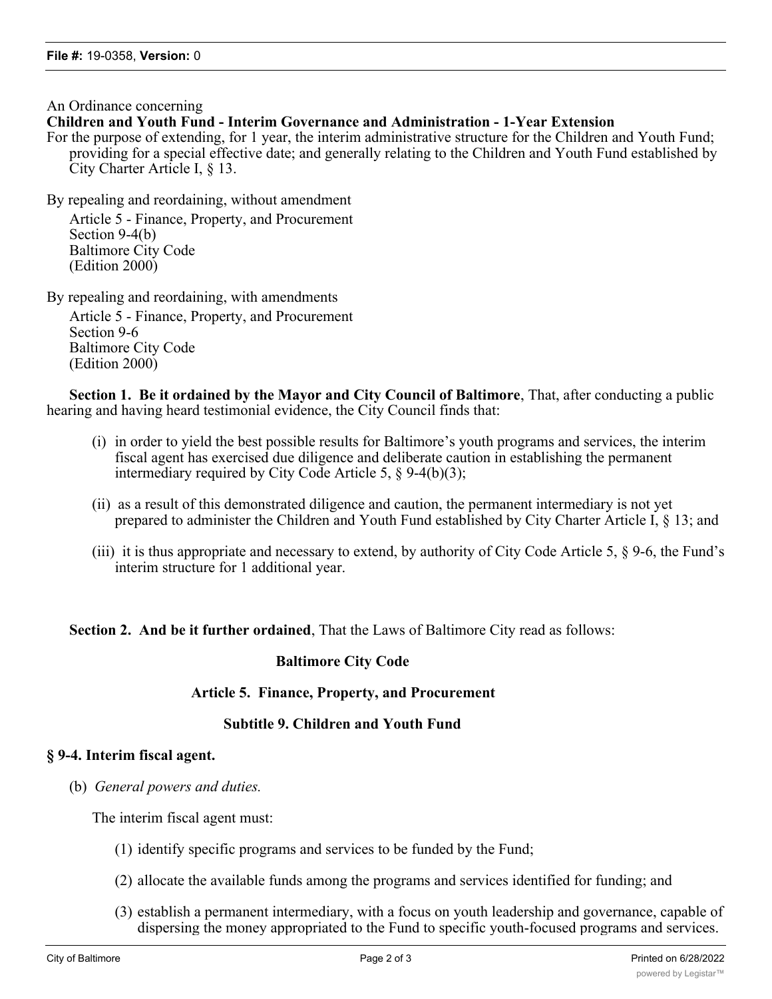An Ordinance concerning

#### **Children and Youth Fund - Interim Governance and Administration - 1-Year Extension**

For the purpose of extending, for 1 year, the interim administrative structure for the Children and Youth Fund; providing for a special effective date; and generally relating to the Children and Youth Fund established by City Charter Article I, § 13.

By repealing and reordaining, without amendment Article 5 - Finance, Property, and Procurement Section 9-4(b) Baltimore City Code (Edition 2000)

By repealing and reordaining, with amendments Article 5 - Finance, Property, and Procurement Section 9-6 Baltimore City Code (Edition 2000)

**Section 1. Be it ordained by the Mayor and City Council of Baltimore**, That, after conducting a public hearing and having heard testimonial evidence, the City Council finds that:

- (i) in order to yield the best possible results for Baltimore's youth programs and services, the interim fiscal agent has exercised due diligence and deliberate caution in establishing the permanent intermediary required by City Code Article 5, § 9-4(b)(3);
- (ii) as a result of this demonstrated diligence and caution, the permanent intermediary is not yet prepared to administer the Children and Youth Fund established by City Charter Article I, § 13; and
- (iii) it is thus appropriate and necessary to extend, by authority of City Code Article 5, § 9-6, the Fund's interim structure for 1 additional year.

#### **Section 2. And be it further ordained**, That the Laws of Baltimore City read as follows:

#### **Baltimore City Code**

#### **Article 5. Finance, Property, and Procurement**

#### **Subtitle 9. Children and Youth Fund**

#### **§ 9-4. Interim fiscal agent.**

(b) *General powers and duties.*

The interim fiscal agent must:

- (1) identify specific programs and services to be funded by the Fund;
- (2) allocate the available funds among the programs and services identified for funding; and
- (3) establish a permanent intermediary, with a focus on youth leadership and governance, capable of dispersing the money appropriated to the Fund to specific youth-focused programs and services.